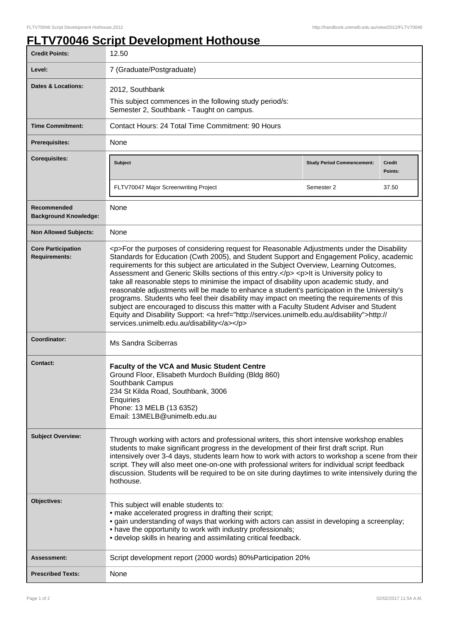## **FLTV70046 Script Development Hothouse**

| <b>Credit Points:</b>                             | 12.50                                                                                                                                                                                                                                                                                                                                                                                                                                                                                                                                                                                                                                                                                                                                                                                                                                                                                                                        |                                   |                          |
|---------------------------------------------------|------------------------------------------------------------------------------------------------------------------------------------------------------------------------------------------------------------------------------------------------------------------------------------------------------------------------------------------------------------------------------------------------------------------------------------------------------------------------------------------------------------------------------------------------------------------------------------------------------------------------------------------------------------------------------------------------------------------------------------------------------------------------------------------------------------------------------------------------------------------------------------------------------------------------------|-----------------------------------|--------------------------|
| Level:                                            | 7 (Graduate/Postgraduate)                                                                                                                                                                                                                                                                                                                                                                                                                                                                                                                                                                                                                                                                                                                                                                                                                                                                                                    |                                   |                          |
| <b>Dates &amp; Locations:</b>                     | 2012, Southbank                                                                                                                                                                                                                                                                                                                                                                                                                                                                                                                                                                                                                                                                                                                                                                                                                                                                                                              |                                   |                          |
|                                                   | This subject commences in the following study period/s:<br>Semester 2, Southbank - Taught on campus.                                                                                                                                                                                                                                                                                                                                                                                                                                                                                                                                                                                                                                                                                                                                                                                                                         |                                   |                          |
| <b>Time Commitment:</b>                           | Contact Hours: 24 Total Time Commitment: 90 Hours                                                                                                                                                                                                                                                                                                                                                                                                                                                                                                                                                                                                                                                                                                                                                                                                                                                                            |                                   |                          |
| <b>Prerequisites:</b>                             | None                                                                                                                                                                                                                                                                                                                                                                                                                                                                                                                                                                                                                                                                                                                                                                                                                                                                                                                         |                                   |                          |
| <b>Corequisites:</b>                              | <b>Subject</b>                                                                                                                                                                                                                                                                                                                                                                                                                                                                                                                                                                                                                                                                                                                                                                                                                                                                                                               | <b>Study Period Commencement:</b> | <b>Credit</b><br>Points: |
|                                                   | FLTV70047 Major Screenwriting Project                                                                                                                                                                                                                                                                                                                                                                                                                                                                                                                                                                                                                                                                                                                                                                                                                                                                                        | Semester 2                        | 37.50                    |
| Recommended<br><b>Background Knowledge:</b>       | None                                                                                                                                                                                                                                                                                                                                                                                                                                                                                                                                                                                                                                                                                                                                                                                                                                                                                                                         |                                   |                          |
| <b>Non Allowed Subjects:</b>                      | None                                                                                                                                                                                                                                                                                                                                                                                                                                                                                                                                                                                                                                                                                                                                                                                                                                                                                                                         |                                   |                          |
| <b>Core Participation</b><br><b>Requirements:</b> | <p>For the purposes of considering request for Reasonable Adjustments under the Disability<br/>Standards for Education (Cwth 2005), and Student Support and Engagement Policy, academic<br/>requirements for this subject are articulated in the Subject Overview, Learning Outcomes,<br/>Assessment and Generic Skills sections of this entry.</p> <p>lt is University policy to<br/>take all reasonable steps to minimise the impact of disability upon academic study, and<br/>reasonable adjustments will be made to enhance a student's participation in the University's<br/>programs. Students who feel their disability may impact on meeting the requirements of this<br/>subject are encouraged to discuss this matter with a Faculty Student Adviser and Student<br/>Equity and Disability Support: &lt; a href="http://services.unimelb.edu.au/disability"&gt;http://<br/>services.unimelb.edu.au/disability</p> |                                   |                          |
| Coordinator:                                      | Ms Sandra Sciberras                                                                                                                                                                                                                                                                                                                                                                                                                                                                                                                                                                                                                                                                                                                                                                                                                                                                                                          |                                   |                          |
| <b>Contact:</b>                                   | Faculty of the VCA and Music Student Centre<br>Ground Floor, Elisabeth Murdoch Building (Bldg 860)<br>Southbank Campus<br>234 St Kilda Road, Southbank, 3006<br>Enquiries<br>Phone: 13 MELB (13 6352)<br>Email: 13MELB@unimelb.edu.au                                                                                                                                                                                                                                                                                                                                                                                                                                                                                                                                                                                                                                                                                        |                                   |                          |
| <b>Subject Overview:</b>                          | Through working with actors and professional writers, this short intensive workshop enables<br>students to make significant progress in the development of their first draft script. Run<br>intensively over 3-4 days, students learn how to work with actors to workshop a scene from their<br>script. They will also meet one-on-one with professional writers for individual script feedback<br>discussion. Students will be required to be on site during daytimes to write intensively during the<br>hothouse.                                                                                                                                                                                                                                                                                                                                                                                                          |                                   |                          |
| Objectives:                                       | This subject will enable students to:<br>· make accelerated progress in drafting their script;<br>• gain understanding of ways that working with actors can assist in developing a screenplay;<br>• have the opportunity to work with industry professionals;<br>• develop skills in hearing and assimilating critical feedback.                                                                                                                                                                                                                                                                                                                                                                                                                                                                                                                                                                                             |                                   |                          |
| <b>Assessment:</b>                                | Script development report (2000 words) 80% Participation 20%                                                                                                                                                                                                                                                                                                                                                                                                                                                                                                                                                                                                                                                                                                                                                                                                                                                                 |                                   |                          |
| <b>Prescribed Texts:</b>                          | None                                                                                                                                                                                                                                                                                                                                                                                                                                                                                                                                                                                                                                                                                                                                                                                                                                                                                                                         |                                   |                          |